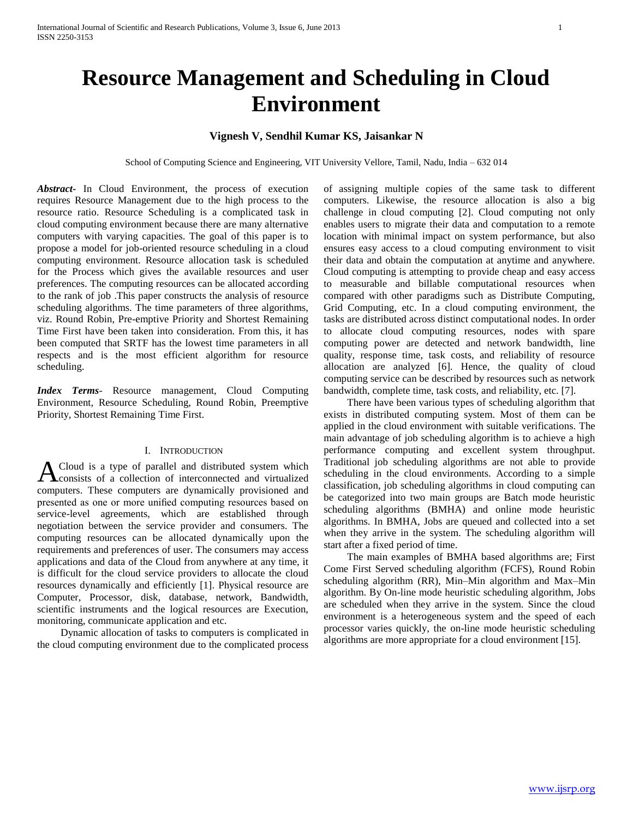# **Resource Management and Scheduling in Cloud Environment**

## **Vignesh V, Sendhil Kumar KS, Jaisankar N**

School of Computing Science and Engineering, VIT University Vellore, Tamil, Nadu, India – 632 014

*Abstract***-** In Cloud Environment, the process of execution requires Resource Management due to the high process to the resource ratio. Resource Scheduling is a complicated task in cloud computing environment because there are many alternative computers with varying capacities. The goal of this paper is to propose a model for job-oriented resource scheduling in a cloud computing environment. Resource allocation task is scheduled for the Process which gives the available resources and user preferences. The computing resources can be allocated according to the rank of job .This paper constructs the analysis of resource scheduling algorithms. The time parameters of three algorithms, viz. Round Robin, Pre-emptive Priority and Shortest Remaining Time First have been taken into consideration. From this, it has been computed that SRTF has the lowest time parameters in all respects and is the most efficient algorithm for resource scheduling.

*Index Terms*- Resource management, Cloud Computing Environment, Resource Scheduling, Round Robin, Preemptive Priority, Shortest Remaining Time First.

### I. INTRODUCTION

Cloud is a type of parallel and distributed system which A Cloud is a type of parallel and distributed system which consists of a collection of interconnected and virtualized computers. These computers are dynamically provisioned and presented as one or more unified computing resources based on service-level agreements, which are established through negotiation between the service provider and consumers. The computing resources can be allocated dynamically upon the requirements and preferences of user. The consumers may access applications and data of the Cloud from anywhere at any time, it is difficult for the cloud service providers to allocate the cloud resources dynamically and efficiently [1]. Physical resource are Computer, Processor, disk, database, network, Bandwidth, scientific instruments and the logical resources are Execution, monitoring, communicate application and etc.

 Dynamic allocation of tasks to computers is complicated in the cloud computing environment due to the complicated process

of assigning multiple copies of the same task to different computers. Likewise, the resource allocation is also a big challenge in cloud computing [2]. Cloud computing not only enables users to migrate their data and computation to a remote location with minimal impact on system performance, but also ensures easy access to a cloud computing environment to visit their data and obtain the computation at anytime and anywhere. Cloud computing is attempting to provide cheap and easy access to measurable and billable computational resources when compared with other paradigms such as Distribute Computing, Grid Computing, etc. In a cloud computing environment, the tasks are distributed across distinct computational nodes. In order to allocate cloud computing resources, nodes with spare computing power are detected and network bandwidth, line quality, response time, task costs, and reliability of resource allocation are analyzed [6]. Hence, the quality of cloud computing service can be described by resources such as network bandwidth, complete time, task costs, and reliability, etc. [7].

 There have been various types of scheduling algorithm that exists in distributed computing system. Most of them can be applied in the cloud environment with suitable verifications. The main advantage of job scheduling algorithm is to achieve a high performance computing and excellent system throughput. Traditional job scheduling algorithms are not able to provide scheduling in the cloud environments. According to a simple classification, job scheduling algorithms in cloud computing can be categorized into two main groups are Batch mode heuristic scheduling algorithms (BMHA) and online mode heuristic algorithms. In BMHA, Jobs are queued and collected into a set when they arrive in the system. The scheduling algorithm will start after a fixed period of time.

 The main examples of BMHA based algorithms are; First Come First Served scheduling algorithm (FCFS), Round Robin scheduling algorithm (RR), Min–Min algorithm and Max–Min algorithm. By On-line mode heuristic scheduling algorithm, Jobs are scheduled when they arrive in the system. Since the cloud environment is a heterogeneous system and the speed of each processor varies quickly, the on-line mode heuristic scheduling algorithms are more appropriate for a cloud environment [15].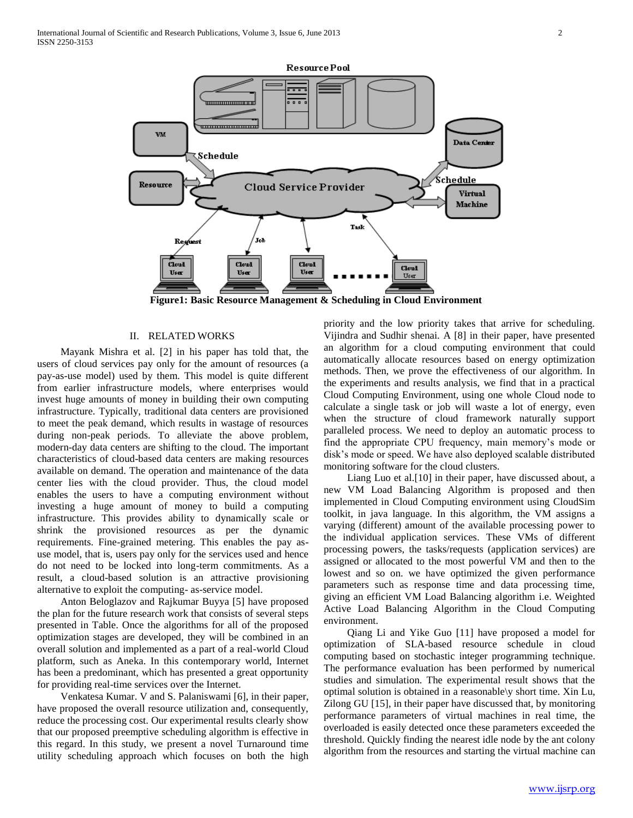

**Figure1: Basic Resource Management & Scheduling in Cloud Environment**

## II. RELATED WORKS

 Mayank Mishra et al. [2] in his paper has told that, the users of cloud services pay only for the amount of resources (a pay-as-use model) used by them. This model is quite different from earlier infrastructure models, where enterprises would invest huge amounts of money in building their own computing infrastructure. Typically, traditional data centers are provisioned to meet the peak demand, which results in wastage of resources during non-peak periods. To alleviate the above problem, modern-day data centers are shifting to the cloud. The important characteristics of cloud-based data centers are making resources available on demand. The operation and maintenance of the data center lies with the cloud provider. Thus, the cloud model enables the users to have a computing environment without investing a huge amount of money to build a computing infrastructure. This provides ability to dynamically scale or shrink the provisioned resources as per the dynamic requirements. Fine-grained metering. This enables the pay asuse model, that is, users pay only for the services used and hence do not need to be locked into long-term commitments. As a result, a cloud-based solution is an attractive provisioning alternative to exploit the computing- as-service model.

 Anton Beloglazov and Rajkumar Buyya [5] have proposed the plan for the future research work that consists of several steps presented in Table. Once the algorithms for all of the proposed optimization stages are developed, they will be combined in an overall solution and implemented as a part of a real-world Cloud platform, such as Aneka. In this contemporary world, Internet has been a predominant, which has presented a great opportunity for providing real-time services over the Internet.

 Venkatesa Kumar. V and S. Palaniswami [6], in their paper, have proposed the overall resource utilization and, consequently, reduce the processing cost. Our experimental results clearly show that our proposed preemptive scheduling algorithm is effective in this regard. In this study, we present a novel Turnaround time utility scheduling approach which focuses on both the high priority and the low priority takes that arrive for scheduling. Vijindra and Sudhir shenai. A [8] in their paper, have presented an algorithm for a cloud computing environment that could automatically allocate resources based on energy optimization methods. Then, we prove the effectiveness of our algorithm. In the experiments and results analysis, we find that in a practical Cloud Computing Environment, using one whole Cloud node to calculate a single task or job will waste a lot of energy, even when the structure of cloud framework naturally support paralleled process. We need to deploy an automatic process to find the appropriate CPU frequency, main memory's mode or disk's mode or speed. We have also deployed scalable distributed monitoring software for the cloud clusters.

 Liang Luo et al.[10] in their paper, have discussed about, a new VM Load Balancing Algorithm is proposed and then implemented in Cloud Computing environment using CloudSim toolkit, in java language. In this algorithm, the VM assigns a varying (different) amount of the available processing power to the individual application services. These VMs of different processing powers, the tasks/requests (application services) are assigned or allocated to the most powerful VM and then to the lowest and so on. we have optimized the given performance parameters such as response time and data processing time, giving an efficient VM Load Balancing algorithm i.e. Weighted Active Load Balancing Algorithm in the Cloud Computing environment.

 Qiang Li and Yike Guo [11] have proposed a model for optimization of SLA-based resource schedule in cloud computing based on stochastic integer programming technique. The performance evaluation has been performed by numerical studies and simulation. The experimental result shows that the optimal solution is obtained in a reasonable\y short time. Xin Lu, Zilong GU [15], in their paper have discussed that, by monitoring performance parameters of virtual machines in real time, the overloaded is easily detected once these parameters exceeded the threshold. Quickly finding the nearest idle node by the ant colony algorithm from the resources and starting the virtual machine can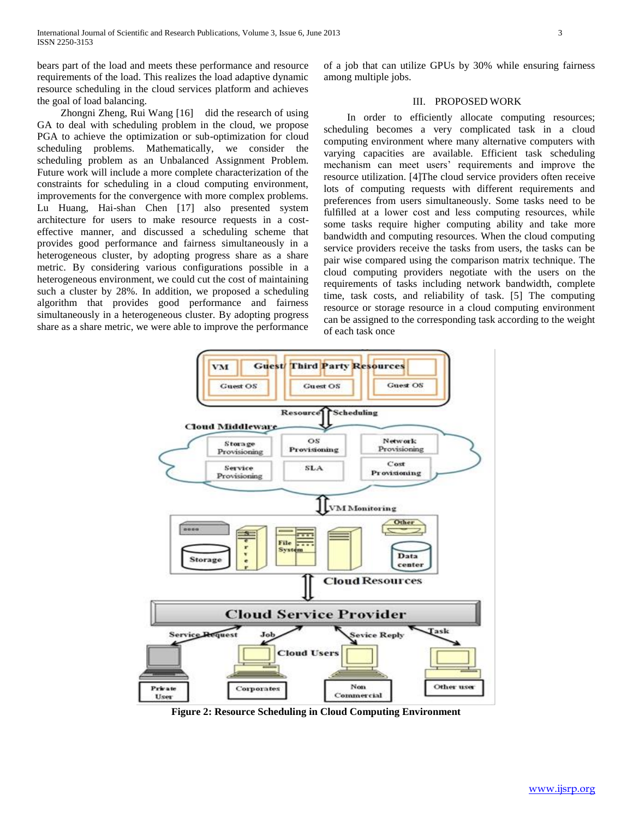bears part of the load and meets these performance and resource requirements of the load. This realizes the load adaptive dynamic resource scheduling in the cloud services platform and achieves the goal of load balancing.

 Zhongni Zheng, Rui Wang [16] did the research of using GA to deal with scheduling problem in the cloud, we propose PGA to achieve the optimization or sub-optimization for cloud scheduling problems. Mathematically, we consider the scheduling problem as an Unbalanced Assignment Problem. Future work will include a more complete characterization of the constraints for scheduling in a cloud computing environment, improvements for the convergence with more complex problems. Lu Huang, Hai-shan Chen [17] also presented system architecture for users to make resource requests in a costeffective manner, and discussed a scheduling scheme that provides good performance and fairness simultaneously in a heterogeneous cluster, by adopting progress share as a share metric. By considering various configurations possible in a heterogeneous environment, we could cut the cost of maintaining such a cluster by 28%. In addition, we proposed a scheduling algorithm that provides good performance and fairness simultaneously in a heterogeneous cluster. By adopting progress share as a share metric, we were able to improve the performance

of a job that can utilize GPUs by 30% while ensuring fairness among multiple jobs.

# III. PROPOSED WORK

 In order to efficiently allocate computing resources; scheduling becomes a very complicated task in a cloud computing environment where many alternative computers with varying capacities are available. Efficient task scheduling mechanism can meet users' requirements and improve the resource utilization. [4]The cloud service providers often receive lots of computing requests with different requirements and preferences from users simultaneously. Some tasks need to be fulfilled at a lower cost and less computing resources, while some tasks require higher computing ability and take more bandwidth and computing resources. When the cloud computing service providers receive the tasks from users, the tasks can be pair wise compared using the comparison matrix technique. The cloud computing providers negotiate with the users on the requirements of tasks including network bandwidth, complete time, task costs, and reliability of task. [5] The computing resource or storage resource in a cloud computing environment can be assigned to the corresponding task according to the weight of each task once



**Figure 2: Resource Scheduling in Cloud Computing Environment**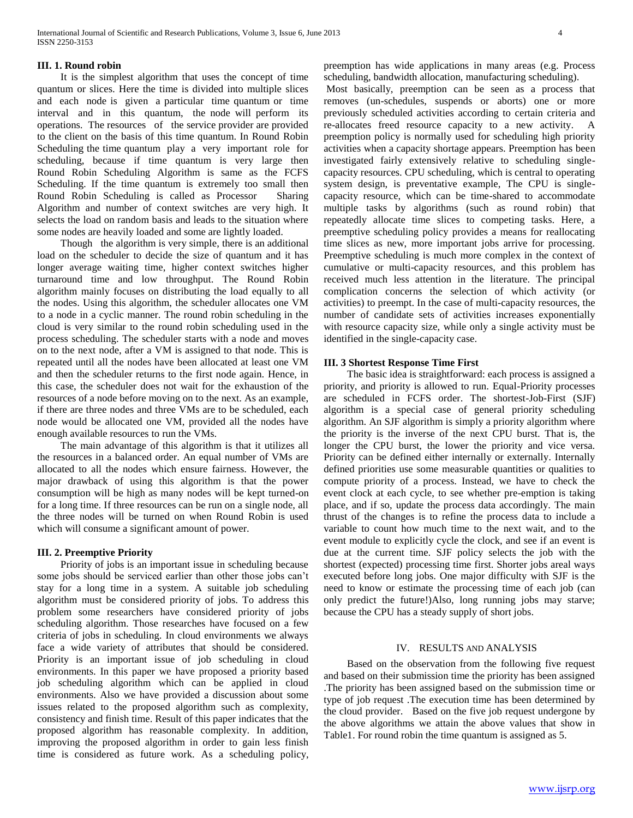## **III. 1. Round robin**

 It is the simplest algorithm that uses the concept of time quantum or slices. Here the time is divided into multiple slices and each node is given a particular time quantum or time interval and in this quantum, the node will perform its operations. The resources of the service provider are provided to the client on the basis of this time quantum. In Round Robin Scheduling the time quantum play a very important role for scheduling, because if time quantum is very large then Round Robin Scheduling Algorithm is same as the FCFS Scheduling. If the time quantum is extremely too small then Round Robin Scheduling is called as Processor Sharing Algorithm and number of context switches are very high. It selects the load on random basis and leads to the situation where some nodes are heavily loaded and some are lightly loaded.

 Though the algorithm is very simple, there is an additional load on the scheduler to decide the size of quantum and it has longer average waiting time, higher context switches higher turnaround time and low throughput. The Round Robin algorithm mainly focuses on distributing the load equally to all the nodes. Using this algorithm, the scheduler allocates one VM to a node in a cyclic manner. The round robin scheduling in the cloud is very similar to the round robin scheduling used in the process scheduling. The scheduler starts with a node and moves on to the next node, after a VM is assigned to that node. This is repeated until all the nodes have been allocated at least one VM and then the scheduler returns to the first node again. Hence, in this case, the scheduler does not wait for the exhaustion of the resources of a node before moving on to the next. As an example, if there are three nodes and three VMs are to be scheduled, each node would be allocated one VM, provided all the nodes have enough available resources to run the VMs.

 The main advantage of this algorithm is that it utilizes all the resources in a balanced order. An equal number of VMs are allocated to all the nodes which ensure fairness. However, the major drawback of using this algorithm is that the power consumption will be high as many nodes will be kept turned-on for a long time. If three resources can be run on a single node, all the three nodes will be turned on when Round Robin is used which will consume a significant amount of power.

### **III. 2. Preemptive Priority**

 Priority of jobs is an important issue in scheduling because some jobs should be serviced earlier than other those jobs can't stay for a long time in a system. A suitable job scheduling algorithm must be considered priority of jobs. To address this problem some researchers have considered priority of jobs scheduling algorithm. Those researches have focused on a few criteria of jobs in scheduling. In cloud environments we always face a wide variety of attributes that should be considered. Priority is an important issue of job scheduling in cloud environments. In this paper we have proposed a priority based job scheduling algorithm which can be applied in cloud environments. Also we have provided a discussion about some issues related to the proposed algorithm such as complexity, consistency and finish time. Result of this paper indicates that the proposed algorithm has reasonable complexity. In addition, improving the proposed algorithm in order to gain less finish time is considered as future work. As a scheduling policy,

preemption has wide applications in many areas (e.g. Process scheduling, bandwidth allocation, manufacturing scheduling).

Most basically, preemption can be seen as a process that removes (un-schedules, suspends or aborts) one or more previously scheduled activities according to certain criteria and re-allocates freed resource capacity to a new activity. A preemption policy is normally used for scheduling high priority activities when a capacity shortage appears. Preemption has been investigated fairly extensively relative to scheduling singlecapacity resources. CPU scheduling, which is central to operating system design, is preventative example, The CPU is singlecapacity resource, which can be time-shared to accommodate multiple tasks by algorithms (such as round robin) that repeatedly allocate time slices to competing tasks. Here, a preemptive scheduling policy provides a means for reallocating time slices as new, more important jobs arrive for processing. Preemptive scheduling is much more complex in the context of cumulative or multi-capacity resources, and this problem has received much less attention in the literature. The principal complication concerns the selection of which activity (or activities) to preempt. In the case of multi-capacity resources, the number of candidate sets of activities increases exponentially with resource capacity size, while only a single activity must be identified in the single-capacity case.

## **III. 3 Shortest Response Time First**

 The basic idea is straightforward: each process is assigned a priority, and priority is allowed to run. Equal-Priority processes are scheduled in FCFS order. The shortest-Job-First (SJF) algorithm is a special case of general priority scheduling algorithm. An SJF algorithm is simply a priority algorithm where the priority is the inverse of the next CPU burst. That is, the longer the CPU burst, the lower the priority and vice versa. Priority can be defined either internally or externally. Internally defined priorities use some measurable quantities or qualities to compute priority of a process. Instead, we have to check the event clock at each cycle, to see whether pre-emption is taking place, and if so, update the process data accordingly. The main thrust of the changes is to refine the process data to include a variable to count how much time to the next wait, and to the event module to explicitly cycle the clock, and see if an event is due at the current time. SJF policy selects the job with the shortest (expected) processing time first. Shorter jobs areal ways executed before long jobs. One major difficulty with SJF is the need to know or estimate the processing time of each job (can only predict the future!)Also, long running jobs may starve; because the CPU has a steady supply of short jobs.

## IV. RESULTS AND ANALYSIS

 Based on the observation from the following five request and based on their submission time the priority has been assigned .The priority has been assigned based on the submission time or type of job request .The execution time has been determined by the cloud provider. Based on the five job request undergone by the above algorithms we attain the above values that show in Table1. For round robin the time quantum is assigned as 5.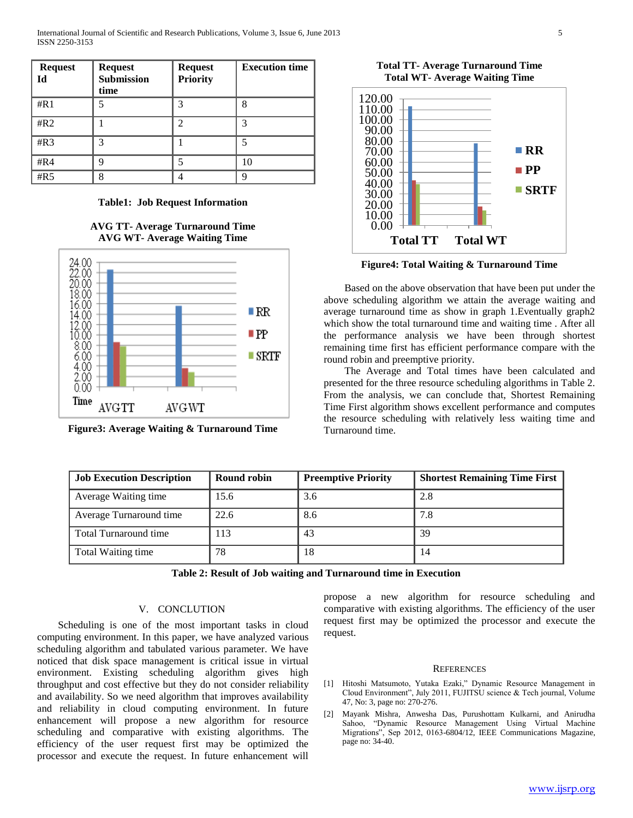| <b>Request</b><br>Id | <b>Request</b><br><b>Submission</b><br>time | <b>Request</b><br><b>Priority</b> | <b>Execution time</b> |
|----------------------|---------------------------------------------|-----------------------------------|-----------------------|
| #R1                  |                                             | 3                                 | 8                     |
| #R2                  |                                             | ∍                                 | 3                     |
| #R3                  | 3                                           |                                   | 5                     |
| #R4                  | q                                           |                                   | 10                    |
| #R5                  | 8                                           |                                   |                       |

### **Table1: Job Request Information**





**Figure3: Average Waiting & Turnaround Time**



**Figure4: Total Waiting & Turnaround Time**

 Based on the above observation that have been put under the above scheduling algorithm we attain the average waiting and average turnaround time as show in graph 1.Eventually graph2 which show the total turnaround time and waiting time . After all the performance analysis we have been through shortest remaining time first has efficient performance compare with the round robin and preemptive priority.

 The Average and Total times have been calculated and presented for the three resource scheduling algorithms in Table 2. From the analysis, we can conclude that, Shortest Remaining Time First algorithm shows excellent performance and computes the resource scheduling with relatively less waiting time and Turnaround time.

| <b>Job Execution Description</b> | <b>Round robin</b> | <b>Preemptive Priority</b> | <b>Shortest Remaining Time First</b> |
|----------------------------------|--------------------|----------------------------|--------------------------------------|
| Average Waiting time             | 15.6               | 3.6                        | 2.8                                  |
| Average Turnaround time          | 22.6               | 8.6                        | 7.8                                  |
| Total Turnaround time            | 113                | 43                         | 39                                   |
| Total Waiting time               | 78                 | 18                         | 14                                   |

**Table 2: Result of Job waiting and Turnaround time in Execution**

## V. CONCLUTION

 Scheduling is one of the most important tasks in cloud computing environment. In this paper, we have analyzed various scheduling algorithm and tabulated various parameter. We have noticed that disk space management is critical issue in virtual environment. Existing scheduling algorithm gives high throughput and cost effective but they do not consider reliability and availability. So we need algorithm that improves availability and reliability in cloud computing environment. In future enhancement will propose a new algorithm for resource scheduling and comparative with existing algorithms. The efficiency of the user request first may be optimized the processor and execute the request. In future enhancement will propose a new algorithm for resource scheduling and comparative with existing algorithms. The efficiency of the user request first may be optimized the processor and execute the request.

#### **REFERENCES**

- [1] Hitoshi Matsumoto, Yutaka Ezaki," Dynamic Resource Management in Cloud Environment", July 2011, FUJITSU science & Tech journal, Volume 47, No: 3, page no: 270-276.
- [2] Mayank Mishra, Anwesha Das, Purushottam Kulkarni, and Anirudha Sahoo, "Dynamic Resource Management Using Virtual Machine Migrations", Sep 2012, 0163-6804/12, IEEE Communications Magazine, page no: 34-40.